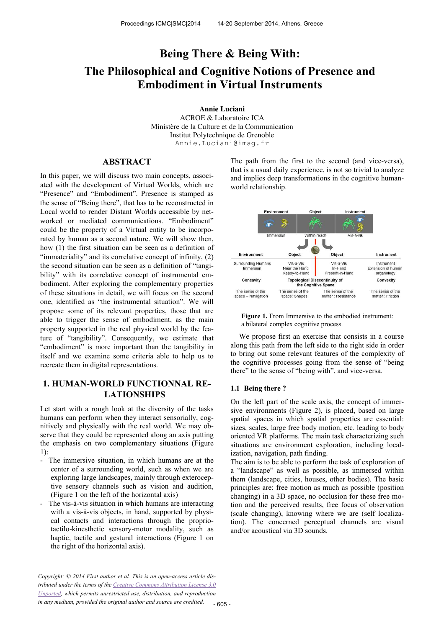# **Being There & Being With: The Philosophical and Cognitive Notions of Presence and Embodiment in Virtual Instruments**

**Annie Luciani** ACROE & Laboratoire ICA Ministère de la Culture et de la Communication Institut Polytechnique de Grenoble Annie.Luciani@imag.fr

# **ABSTRACT**

In this paper, we will discuss two main concepts, associated with the development of Virtual Worlds, which are "Presence" and "Embodiment". Presence is stamped as the sense of "Being there", that has to be reconstructed in Local world to render Distant Worlds accessible by networked or mediated communications. "Embodiment" could be the property of a Virtual entity to be incorporated by human as a second nature. We will show then, how (1) the first situation can be seen as a definition of "immateriality" and its correlative concept of infinity, (2) the second situation can be seen as a definition of "tangibility" with its correlative concept of instrumental embodiment. After exploring the complementary properties of these situations in detail, we will focus on the second one, identified as "the instrumental situation". We will propose some of its relevant properties, those that are able to trigger the sense of embodiment, as the main property supported in the real physical world by the feature of "tangibility". Consequently, we estimate that "embodiment" is more important than the tangibility in itself and we examine some criteria able to help us to recreate them in digital representations.

# **1. HUMAN-WORLD FUNCTIONNAL RE-LATIONSHIPS**

Let start with a rough look at the diversity of the tasks humans can perform when they interact sensorially, cognitively and physically with the real world. We may observe that they could be represented along an axis putting the emphasis on two complementary situations (Figure  $1$ ).

- The immersive situation, in which humans are at the center of a surrounding world, such as when we are exploring large landscapes, mainly through exteroceptive sensory channels such as vision and audition, (Figure 1 on the left of the horizontal axis)
- The vis-à-vis situation in which humans are interacting with a vis-à-vis objects, in hand, supported by physical contacts and interactions through the propriotactilo-kinesthetic sensory-motor modality, such as haptic, tactile and gestural interactions (Figure 1 on the right of the horizontal axis).

The path from the first to the second (and vice-versa), that is a usual daily experience, is not so trivial to analyze and implies deep transformations in the cognitive humanworld relationship.





We propose first an exercise that consists in a course along this path from the left side to the right side in order to bring out some relevant features of the complexity of the cognitive processes going from the sense of "being there" to the sense of "being with", and vice-versa.

#### **1.1 Being there ?**

On the left part of the scale axis, the concept of immersive environments (Figure 2), is placed, based on large spatial spaces in which spatial properties are essential: sizes, scales, large free body motion, etc. leading to body oriented VR platforms. The main task characterizing such situations are environment exploration, including localization, navigation, path finding.

The aim is to be able to perform the task of exploration of a "landscape" as well as possible, as immersed within them (landscape, cities, houses, other bodies). The basic principles are: free motion as much as possible (position changing) in a 3D space, no occlusion for these free motion and the perceived results, free focus of observation (scale changing), knowing where we are (self localization). The concerned perceptual channels are visual and/or acoustical via 3D sounds.

*Copyright: © 2014 First author et al. This is an open-access article distributed under the terms of the Creative Commons Attribution License 3.0 Unported, which permits unrestricted use, distribution, and reproduction in any medium, provided the original author and source are credited.*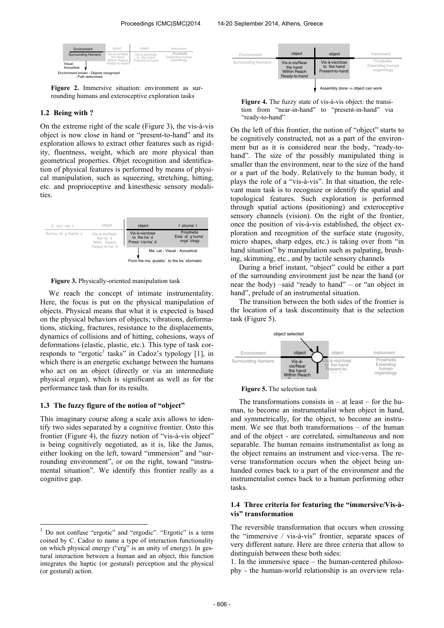| Environment                                                 | object                                                       | object                                            | Instrument                                  |
|-------------------------------------------------------------|--------------------------------------------------------------|---------------------------------------------------|---------------------------------------------|
| <b>Surrounding Humans</b>                                   | Vis-à-vis/Near<br>the hand<br>Within Reach<br>Ready-to-hand" | Vis-à-vis/close<br>to the hand<br>Present-to-hand | Prosthetis<br>Extanding human<br>organology |
| Visual<br>Acoustical                                        |                                                              |                                                   |                                             |
| Environment known - Objects recognized<br>- Path determined |                                                              |                                                   |                                             |

**Figure 2.** Immersive situation: environment as surrounding humans and exteroceptive exploration tasks

## **1.2 Being with ?**

On the extreme right of the scale (Figure 3), the vis-à-vis object is now close in hand or "present-to-hand" and its exploration allows to extract other features such as rigidity, fluentness, weight, which are more physical than geometrical properties. Objet recognition and identification of physical features is performed by means of physical manipulation, such as squeezing, stretching, hitting, etc. and proprioceptive and kinesthesic sensory modalities.



**Figure 3.** Physically-oriented manipulation task

We reach the concept of intimate instrumentality. Here, the focus is put on the physical manipulation of objects. Physical means that what it is expected is based on the physical behaviors of objects; vibrations, deformations, sticking, fractures, resistance to the displacements, dynamics of collisions and of hitting, cohesions, ways of deformations (elastic, plastic, etc.). This type of task corresponds to "ergotic<sup>1</sup> tasks" in Cadoz's typology [1], in which there is an energetic exchange between the humans who act on an object (directly or via an intermediate physical organ), which is significant as well as for the performance task than for its results.

## **1.3 The fuzzy figure of the notion of "object"**

This imaginary course along a scale axis allows to identify two sides separated by a cognitive frontier. Onto this frontier (Figure 4), the fuzzy notion of "vis-à-vis object" is being cognitively negotiated, as it is, like the Janus, either looking on the left, toward "immersion" and "surrounding environment", or on the right, toward "instrumental situation". We identify this frontier really as a cognitive gap.





On the left of this frontier, the notion of "object" starts to be cognitively constructed, not as a part of the environment but as it is considered near the body, "ready-tohand". The size of the possibly manipulated thing is smaller than the environment, near to the size of the hand or a part of the body. Relatively to the human body, it plays the role of a "vis-à-vis". In that situation, the relevant main task is to recognize or identify the spatial and topological features. Such exploration is performed through spatial actions (positioning) and exteroceptive sensory channels (vision). On the right of the frontier, once the position of vis-à-vis established, the object exploration and recognition of the surface state (rugosity, micro shapes, sharp edges, etc.) is taking over from "in hand situation" by manipulation such as palpating, brushing, skimming, etc., and by tactile sensory channels

During a brief instant, "object" could be either a part of the surrounding environment just be near the hand (or near the body) –said "ready to hand" – or "an object in hand", prelude of an instrumental situation.

The transition between the both sides of the frontier is the location of a task discontinuity that is the selection task (Figure 5).



#### **Figure 5.** The selection task

The transformations consists in  $-$  at least  $-$  for the human, to become an instrumentalist when object in hand, and symmetrically, for the object, to become an instrument. We see that both transformations – of the human and of the object - are correlated, simultaneous and non separable. The human remains instrumentalist as long as the object remains an instrument and vice-versa. The reverse transformation occurs when the object being unhanded comes back to a part of the environment and the instrumentalist comes back to a human performing other tasks.

## **1.4 Three criteria for featuring the "immersive/Vis-àvis" transformation**

The reversible transformation that occurs when crossing the "immersive / vis-à-vis" frontier, separate spaces of very different nature. Here are three criteria that allow to distinguish between these both sides:

1. In the immersive space – the human-centered philosophy - the human-world relationship is an overview rela-

 $\mathbf{1}$ <sup>1</sup> Do not confuse "ergotic" and "ergodic". "Ergotic" is a term coined by C. Cadoz to name a type of interaction functionality on which physical energy ("erg" is an unity of energy). In gestural interaction between a human and an object, this function integrates the haptic (or gestural) perception and the physical (or gestural) action.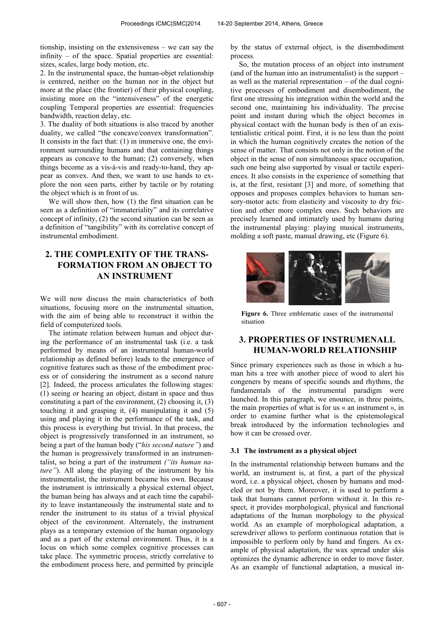tionship, insisting on the extensiveness – we can say the infinity – of the space. Spatial properties are essential: sizes, scales, large body motion, etc.

2. In the instrumental space, the human-objet relationship is centered, neither on the human nor in the object but more at the place (the frontier) of their physical coupling, insisting more on the "intensiveness" of the energetic coupling Temporal properties are essential: frequencies bandwidth, reaction delay, etc.

3. The duality of both situations is also traced by another duality, we called "the concave/convex transformation". It consists in the fact that: (1) in immersive one, the environment surrounding humans and that containing things appears as concave to the human; (2) conversely, when things become as a vis-à-vis and ready-to-hand, they appear as convex. And then, we want to use hands to explore the non seen parts, either by tactile or by rotating the object which is in front of us.

We will show then, how (1) the first situation can be seen as a definition of "immateriality" and its correlative concept of infinity, (2) the second situation can be seen as a definition of "tangibility" with its correlative concept of instrumental embodiment.

# **2. THE COMPLEXITY OF THE TRANS-FORMATION FROM AN OBJECT TO AN INSTRUMENT**

We will now discuss the main characteristics of both situations, focusing more on the instrumental situation, with the aim of being able to reconstruct it within the field of computerized tools.

The intimate relation between human and object during the performance of an instrumental task (i.e. a task performed by means of an instrumental human-world relationship as defined before) leads to the emergence of cognitive features such as those of the embodiment process or of considering the instrument as a second nature [2]. Indeed, the process articulates the following stages: (1) seeing or hearing an object, distant in space and thus constituting a part of the environment, (2) choosing it, (3) touching it and grasping it, (4) manipulating it and (5) using and playing it in the performance of the task, and this process is everything but trivial. In that process, the object is progressively transformed in an instrument, so being a part of the human body ("*his second nature"*) and the human is progressively transformed in an instrumentalist, so being a part of the instrument *("its human nature"*). All along the playing of the instrument by his instrumentalist, the instrument became his own. Because the instrument is intrinsically a physical external object, the human being has always and at each time the capability to leave instantaneously the instrumental state and to render the instrument to its status of a trivial physical object of the environment. Alternately, the instrument plays as a temporary extension of the human organology and as a part of the external environment. Thus, it is a locus on which some complex cognitive processes can take place. The symmetric process, strictly correlative to the embodiment process here, and permitted by principle by the status of external object, is the disembodiment process.

So, the mutation process of an object into instrument (and of the human into an instrumentalist) is the support – as well as the material representation – of the dual cognitive processes of embodiment and disembodiment, the first one stressing his integration within the world and the second one, maintaining his individuality. The precise point and instant during which the object becomes in physical contact with the human body is then of an existentialistic critical point. First, it is no less than the point in which the human cognitively creates the notion of the sense of matter. That consists not only in the notion of the object in the sense of non simultaneous space occupation, such one being also supported by visual or tactile experiences. It also consists in the experience of something that is, at the first, resistant [3] and more, of something that opposes and proposes complex behaviors to human sensory-motor acts: from elasticity and viscosity to dry friction and other more complex ones. Such behaviors are precisely learned and intimately used by humans during the instrumental playing: playing musical instruments, molding a soft paste, manual drawing, etc (Figure 6).



**Figure 6.** Three emblematic cases of the instrumental situation

# **3. PROPERTIES OF INSTRUMENALL HUMAN-WORLD RELATIONSHIP**

Since primary experiences such as those in which a human hits a tree with another piece of wood to alert his congeners by means of specific sounds and rhythms, the fundamentals of the instrumental paradigm were launched. In this paragraph, we enounce, in three points, the main properties of what is for us « an instrument », in order to examine further what is the epistemological break introduced by the information technologies and how it can be crossed over.

## **3.1 The instrument as a physical object**

In the instrumental relationship between humans and the world, an instrument is, at first, a part of the physical word, i.e. a physical object, chosen by humans and modeled or not by them. Moreover, it is used to perform a task that humans cannot perform without it. In this respect, it provides morphological, physical and functional adaptations of the human morphology to the physical world. As an example of morphological adaptation, a screwdriver allows to perform continuous rotation that is impossible to perform only by hand and fingers. As example of physical adaptation, the wax spread under skis optimizes the dynamic adherence in order to move faster. As an example of functional adaptation, a musical in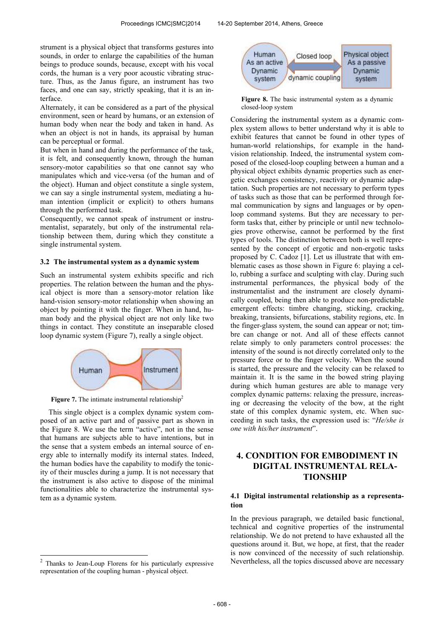strument is a physical object that transforms gestures into sounds, in order to enlarge the capabilities of the human beings to produce sounds, because, except with his vocal cords, the human is a very poor acoustic vibrating structure. Thus, as the Janus figure, an instrument has two faces, and one can say, strictly speaking, that it is an interface.

Alternately, it can be considered as a part of the physical environment, seen or heard by humans, or an extension of human body when near the body and taken in hand. As when an object is not in hands, its appraisal by human can be perceptual or formal.

But when in hand and during the performance of the task, it is felt, and consequently known, through the human sensory-motor capabilities so that one cannot say who manipulates which and vice-versa (of the human and of the object). Human and object constitute a single system, we can say a single instrumental system, mediating a human intention (implicit or explicit) to others humans through the performed task.

Consequently, we cannot speak of instrument or instrumentalist, separately, but only of the instrumental relationship between them, during which they constitute a single instrumental system.

#### **3.2 The instrumental system as a dynamic system**

Such an instrumental system exhibits specific and rich properties. The relation between the human and the physical object is more than a sensory-motor relation like hand-vision sensory-motor relationship when showing an object by pointing it with the finger. When in hand, human body and the physical object are not only like two things in contact. They constitute an inseparable closed loop dynamic system (Figure 7), really a single object.



**Figure 7.** The intimate instrumental relationship<sup>2</sup>

This single object is a complex dynamic system composed of an active part and of passive part as shown in the Figure 8. We use the term "active", not in the sense that humans are subjects able to have intentions, but in the sense that a system embeds an internal source of energy able to internally modify its internal states. Indeed, the human bodies have the capability to modify the tonicity of their muscles during a jump. It is not necessary that the instrument is also active to dispose of the minimal functionalities able to characterize the instrumental system as a dynamic system.

j



**Figure 8.** The basic instrumental system as a dynamic closed-loop system

Considering the instrumental system as a dynamic complex system allows to better understand why it is able to exhibit features that cannot be found in other types of human-world relationships, for example in the handvision relationship. Indeed, the instrumental system composed of the closed-loop coupling between a human and a physical object exhibits dynamic properties such as energetic exchanges consistency, reactivity or dynamic adaptation. Such properties are not necessary to perform types of tasks such as those that can be performed through formal communication by signs and languages or by openloop command systems. But they are necessary to perform tasks that, either by principle or until new technologies prove otherwise, cannot be performed by the first types of tools. The distinction between both is well represented by the concept of ergotic and non-ergotic tasks proposed by C. Cadoz [1]. Let us illustrate that with emblematic cases as those shown in Figure 6: playing a cello, rubbing a surface and sculpting with clay. During such instrumental performances, the physical body of the instrumentalist and the instrument are closely dynamically coupled, being then able to produce non-predictable emergent effects: timbre changing, sticking, cracking, breaking, transients, bifurcations, stability regions, etc. In the finger-glass system, the sound can appear or not; timbre can change or not. And all of these effects cannot relate simply to only parameters control processes: the intensity of the sound is not directly correlated only to the pressure force or to the finger velocity. When the sound is started, the pressure and the velocity can be relaxed to maintain it. It is the same in the bowed string playing during which human gestures are able to manage very complex dynamic patterns: relaxing the pressure, increasing or decreasing the velocity of the bow, at the right state of this complex dynamic system, etc. When succeeding in such tasks, the expression used is: "*He/she is one with his/her instrument*".

# **4. CONDITION FOR EMBODIMENT IN DIGITAL INSTRUMENTAL RELA-TIONSHIP**

### **4.1 Digital instrumental relationship as a representation**

In the previous paragraph, we detailed basic functional, technical and cognitive properties of the instrumental relationship. We do not pretend to have exhausted all the questions around it. But, we hope, at first, that the reader is now convinced of the necessity of such relationship. Nevertheless, all the topics discussed above are necessary

<sup>2</sup> Thanks to Jean-Loup Florens for his particularly expressive representation of the coupling human - physical object.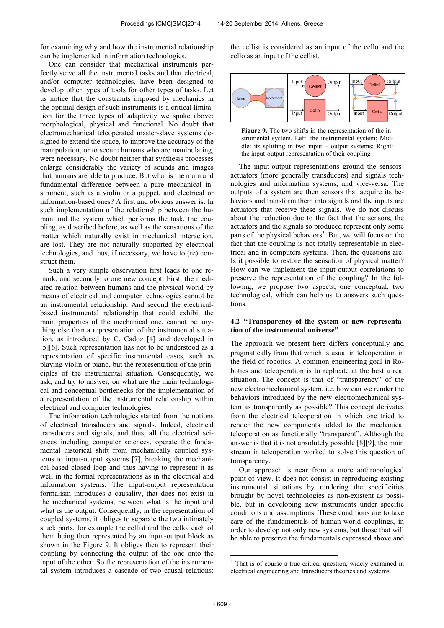for examining why and how the instrumental relationship can be implemented in information technologies.

One can consider that mechanical instruments perfectly serve all the instrumental tasks and that electrical, and/or computer technologies, have been designed to develop other types of tools for other types of tasks. Let us notice that the constraints imposed by mechanics in the optimal design of such instruments is a critical limitation for the three types of adaptivity we spoke above: morphological, physical and functional. No doubt that electromechanical teleoperated master-slave systems designed to extend the space, to improve the accuracy of the manipulation, or to secure humans who are manipulating, were necessary. No doubt neither that synthesis processes enlarge considerably the variety of sounds and images that humans are able to produce. But what is the main and fundamental difference between a pure mechanical instrument, such as a violin or a puppet, and electrical or information-based ones? A first and obvious answer is: In such implementation of the relationship between the human and the system which performs the task, the coupling, as described before, as well as the sensations of the matter which naturally exist in mechanical interaction, are lost. They are not naturally supported by electrical technologies, and thus, if necessary, we have to (re) construct them.

Such a very simple observation first leads to one remark, and secondly to one new concept. First, the mediated relation between humans and the physical world by means of electrical and computer technologies cannot be an instrumental relationship. And second the electricalbased instrumental relationship that could exhibit the main properties of the mechanical one, cannot be anything else than a representation of the instrumental situation, as introduced by C. Cadoz [4] and developed in [5][6]. Such representation has not to be understood as a representation of specific instrumental cases, such as playing violin or piano, but the representation of the principles of the instrumental situation. Consequently, we ask, and try to answer, on what are the main technological and conceptual bottlenecks for the implementation of a representation of the instrumental relationship within electrical and computer technologies.

The information technologies started from the notions of electrical transducers and signals. Indeed, electrical transducers and signals, and thus, all the electrical sciences including computer sciences, operate the fundamental historical shift from mechanically coupled systems to input-output systems [7], breaking the mechanical-based closed loop and thus having to represent it as well in the formal representations as in the electrical and information systems. The input-output representation formalism introduces a causality, that does not exist in the mechanical systems, between what is the input and what is the output. Consequently, in the representation of coupled systems, it obliges to separate the two intimately stuck parts, for example the cellist and the cello, each of them being then represented by an input-output block as shown in the Figure 9. It obliges then to represent their coupling by connecting the output of the one onto the input of the other. So the representation of the instrumental system introduces a cascade of two causal relations: the cellist is considered as an input of the cello and the cello as an input of the cellist.



**Figure 9.** The two shifts in the representation of the instrumental system. Left: the instrumental system; Middle: its splitting in two input – output systems; Right: the input-output representation of their coupling

The input-output representations ground the sensorsactuators (more generally transducers) and signals technologies and information systems, and vice-versa. The outputs of a system are then sensors that acquire its behaviors and transform them into signals and the inputs are actuators that receive these signals. We do not discuss about the reduction due to the fact that the sensors, the actuators and the signals so produced represent only some parts of the physical behaviors<sup>3</sup>. But, we will focus on the fact that the coupling is not totally representable in electrical and in computers systems. Then, the questions are: Is it possible to restore the sensation of physical matter? How can we implement the input-output correlations to preserve the representation of the coupling? In the following, we propose two aspects, one conceptual, two technological, which can help us to answers such questions.

### **4.2 "Transparency of the system or new representation of the instrumental universe"**

The approach we present here differs conceptually and pragmatically from that which is usual in teleoperation in the field of robotics. A common engineering goal in Robotics and teleoperation is to replicate at the best a real situation. The concept is that of "transparency" of the new electromechanical system, i.e. how can we render the behaviors introduced by the new electromechanical system as transparently as possible? This concept derivates from the electrical teleoperation in which one tried to render the new components added to the mechanical teleoperation as functionally "transparent". Although the answer is that it is not absolutely possible [8][9], the main stream in teleoperation worked to solve this question of transparency.

Our approach is near from a more anthropological point of view. It does not consist in reproducing existing instrumental situations by rendering the specificities brought by novel technologies as non-existent as possible, but in developing new instruments under specific conditions and assumptions. These conditions are to take care of the fundamentals of human-world couplings, in order to develop not only new systems, but those that will be able to preserve the fundamentals expressed above and

<sup>&</sup>lt;sup>3</sup> That is of course a true critical question, widely examined in electrical engineering and transducers theories and systems.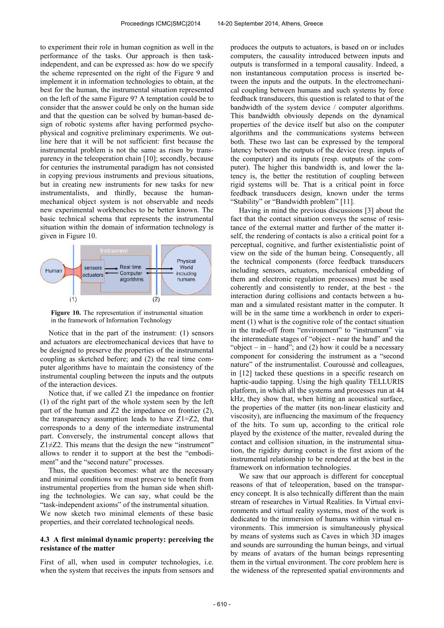to experiment their role in human cognition as well in the performance of the tasks. Our approach is then taskindependent, and can be expressed as: how do we specify the scheme represented on the right of the Figure 9 and implement it in information technologies to obtain, at the best for the human, the instrumental situation represented on the left of the same Figure 9? A temptation could be to consider that the answer could be only on the human side and that the question can be solved by human-based design of robotic systems after having performed psychophysical and cognitive preliminary experiments. We outline here that it will be not sufficient: first because the instrumental problem is not the same as risen by transparency in the teleoperation chain [10]; secondly, because for centuries the instrumental paradigm has not consisted in copying previous instruments and previous situations, but in creating new instruments for new tasks for new instrumentalists, and thirdly, because the humanmechanical object system is not observable and needs new experimental workbenches to be better known. The basic technical schema that represents the instrumental situation within the domain of information technology is given in Figure 10.



**Figure 10.** The representation if instrumental situation in the framework of Information Technology

Notice that in the part of the instrument: (1) sensors and actuators are electromechanical devices that have to be designed to preserve the properties of the instrumental coupling as sketched before; and (2) the real time computer algorithms have to maintain the consistency of the instrumental coupling between the inputs and the outputs of the interaction devices.

Notice that, if we called Z1 the impedance on frontier (1) of the right part of the whole system seen by the left part of the human and Z2 the impedance on frontier (2), the transparency assumption leads to have Z1=Z2, that corresponds to a deny of the intermediate instrumental part. Conversely, the instrumental concept allows that  $Z1\neq Z2$ . This means that the design the new "instrument" allows to render it to support at the best the "embodiment" and the "second nature" processes.

Thus, the question becomes: what are the necessary and minimal conditions we must preserve to benefit from instrumental properties from the human side when shifting the technologies. We can say, what could be the "task-independent axioms" of the instrumental situation. We now sketch two minimal elements of these basic properties, and their correlated technological needs.

#### **4.3 A first minimal dynamic property: perceiving the resistance of the matter**

First of all, when used in computer technologies, i.e. when the system that receives the inputs from sensors and produces the outputs to actuators, is based on or includes computers, the causality introduced between inputs and outputs is transformed in a temporal causality. Indeed, a non instantaneous computation process is inserted between the inputs and the outputs. In the electromechanical coupling between humans and such systems by force feedback transducers, this question is related to that of the bandwidth of the system device / computer algorithms. This bandwidth obviously depends on the dynamical properties of the device itself but also on the computer algorithms and the communications systems between both. These two last can be expressed by the temporal latency between the outputs of the device (resp. inputs of the computer) and its inputs (resp. outputs of the computer). The higher this bandwidth is, and lower the latency is, the better the restitution of coupling between rigid systems will be. That is a critical point in force feedback transducers design, known under the terms "Stability" or "Bandwidth problem" [11].

Having in mind the previous discussions [3] about the fact that the contact situation conveys the sense of resistance of the external matter and further of the matter itself, the rendering of contacts is also a critical point for a perceptual, cognitive, and further existentialistic point of view on the side of the human being. Consequently, all the technical components (force feedback transducers including sensors, actuators, mechanical embedding of them and electronic regulation processes) must be used coherently and consistently to render, at the best - the interaction during collisions and contacts between a human and a simulated resistant matter in the computer. It will be in the same time a workbench in order to experiment (1) what is the cognitive role of the contact situation in the trade-off from "environment" to "instrument" via the intermediate stages of "object - near the hand" and the "object – in – hand"; and (2) how it could be a necessary component for considering the instrument as a "second nature" of the instrumentalist. Couroussé and colleagues, in [12] tacked these questions in a specific research on haptic-audio tapping. Using the high quality TELLURIS platform, in which all the systems and processes run at 44 kHz, they show that, when hitting an acoustical surface, the properties of the matter (its non-linear elasticity and viscosity), are influencing the maximum of the frequency of the hits. To sum up, according to the critical role played by the existence of the matter, revealed during the contact and collision situation, in the instrumental situation, the rigidity during contact is the first axiom of the instrumental relationship to be rendered at the best in the framework on information technologies.

We saw that our approach is different for conceptual reasons of that of teleoperation, based on the transparency concept. It is also technically different than the main stream of researches in Virtual Realities. In Virtual environments and virtual reality systems, most of the work is dedicated to the immersion of humans within virtual environments. This immersion is simultaneously physical by means of systems such as Caves in which 3D images and sounds are surrounding the human beings, and virtual by means of avatars of the human beings representing them in the virtual environment. The core problem here is the wideness of the represented spatial environments and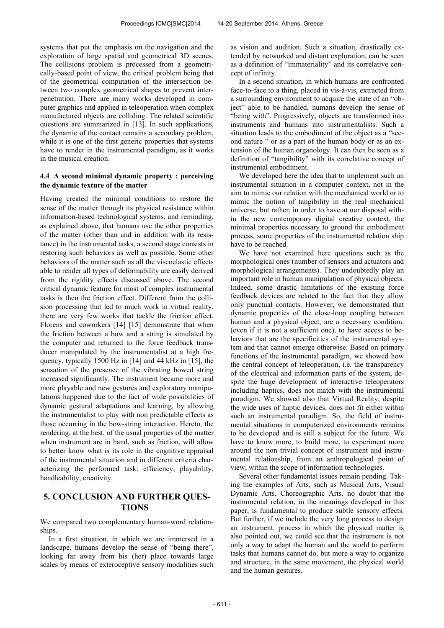systems that put the emphasis on the navigation and the exploration of large spatial and geometrical 3D scenes. The collisions problem is processed from a geometrically-based point of view, the critical problem being that of the geometrical computation of the intersection between two complex geometrical shapes to prevent interpenetration. There are many works developed in computer graphics and applied in teleoperation when complex manufactured objects are colliding. The related scientific questions are summarized in [13]. In such applications, the dynamic of the contact remains a secondary problem, while it is one of the first generic properties that systems have to render in the instrumental paradigm, as it works in the musical creation.

## **4.4 A second minimal dynamic property : perceiving the dynamic texture of the matter**

Having created the minimal conditions to restore the sense of the matter through its physical resistance within information-based technological systems, and reminding, as explained above, that humans use the other properties of the matter (other than and in addition with its resistance) in the instrumental tasks, a second stage consists in restoring such behaviors as well as possible. Some other behaviors of the matter such as all the viscoelastic effects able to render all types of deformability are easily derived from the rigidity effects discussed above. The second critical dynamic feature for most of complex instrumental tasks is then the friction effect. Different from the collision processing that led to much work in virtual reality, there are very few works that tackle the friction effect. Florens and coworkers [14] [15] demonstrate that when the friction between a bow and a string is simulated by the computer and returned to the force feedback transducer manipulated by the instrumentalist at a high frequency, typically 1500 Hz in [14] and 44 kHz in [15], the sensation of the presence of the vibrating bowed string increased significantly. The instrument became more and more playable and new gestures and exploratory manipulations happened due to the fact of wide possibilities of dynamic gestural adaptations and learning, by allowing the instrumentalist to play with non predictable effects as those occurring in the bow-string interaction. Hereto, the rendering, at the best, of the usual properties of the matter when instrument are in hand, such as friction, will allow to better know what is its role in the cognitive appraisal of the instrumental situation and in different criteria characterizing the performed task: efficiency, playability, handleability, creativity.

# **5. CONCLUSION AND FURTHER QUES-TIONS**

We compared two complementary human-word relationships.

In a first situation, in which we are immersed in a landscape, humans develop the sense of "being there", looking far away from his (her) place towards large scales by means of exteroceptive sensory modalities such as vision and audition. Such a situation, drastically extended by networked and distant exploration, can be seen as a definition of "immateriality" and its correlative concept of infinity.

In a second situation, in which humans are confronted face-to-face to a thing, placed in vis-à-vis, extracted from a surrounding environment to acquire the state of an "object" able to be handled, humans develop the sense of "being with". Progressively, objects are transformed into instruments and humans into instrumentalists. Such a situation leads to the embodiment of the object as a "second nature " or as a part of the human body or as an extension of the human organology. It can then be seen as a definition of "tangibility" with its correlative concept of instrumental embodiment.

We developed here the idea that to implement such an instrumental situation in a computer context, not in the aim to mimic our relation with the mechanical world or to mimic the notion of tangibility in the real mechanical universe, but rather, in order to have at our disposal within the new contemporary digital creative context, the minimal properties necessary to ground the embodiment process, some properties of the instrumental relation ship have to be reached.

We have not examined here questions such as the morphological ones (number of sensors and actuators and morphological arrangements). They undoubtedly play an important role in human manipulation of physical objects. Indeed, some drastic limitations of the existing force feedback devices are related to the fact that they allow only punctual contacts. However, we demonstrated that dynamic properties of the close-loop coupling between human and a physical object, are a necessary condition, (even if it is not a sufficient one), to have access to behaviors that are the specificities of the instrumental system and that cannot emerge otherwise. Based on primary functions of the instrumental paradigm, we showed how the central concept of teleoperation, i.e. the transparency of the electrical and information parts of the system, despite the huge development of interactive teleoperators including haptics, does not match with the instrumental paradigm. We showed also that Virtual Reality, despite the wide uses of haptic devices, does not fit either within such an instrumental paradigm. So, the field of instrumental situations in computerized environments remains to be developed and is still a subject for the future. We have to know more, to build more, to experiment more around the non trivial concept of instrument and instrumental relationship, from an anthropological point of view, within the scope of information technologies.

Several other fundamental issues remain pending. Taking the examples of Arts, such as Musical Arts, Visual Dynamic Arts, Choreographic Arts, no doubt that the instrumental relation, in the meanings developed in this paper, is fundamental to produce subtle sensory effects. But further, if we include the very long process to design an instrument, process in which the physical matter is also pointed out, we could see that the instrument is not only a way to adapt the human and the world to perform tasks that humans cannot do, but more a way to organize and structure, in the same movement, the physical world and the human gestures.